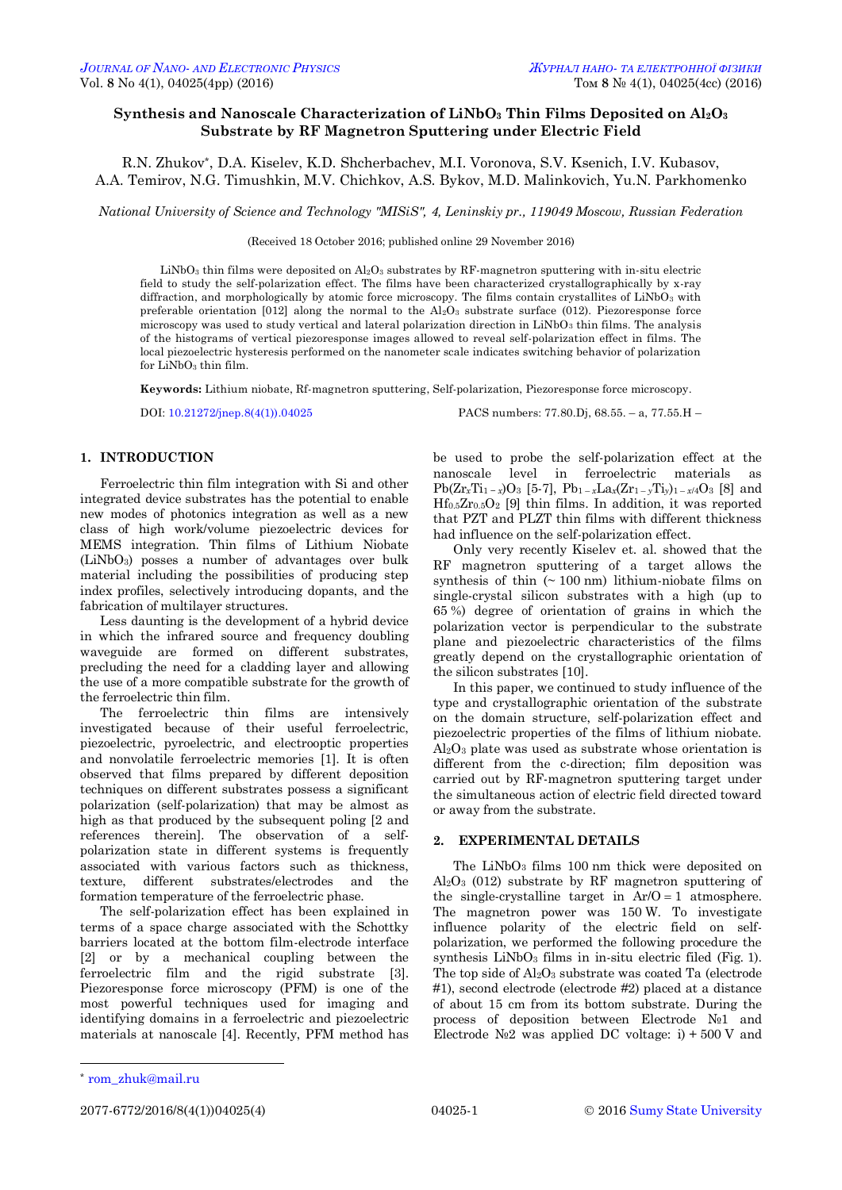# **Synthesis and Nanoscale Characterization of LiNbO<sup>3</sup> Thin Films Deposited on Al2O<sup>3</sup> Substrate by RF Magnetron Sputtering under Electric Field**

R.N. Zhukov\*, D.A. Kiselev, K.D. Shcherbachev, M.I. Voronova, S.V. Ksenich, I.V. Kubasov, A.A. Temirov, N.G. Timushkin, M.V. Chichkov, A.S. Bykov, M.D. Malinkovich, Yu.N. Parkhomenko

*National University of Science and Technology "MISiS", 4, Leninskiy pr., 119049 Moscow, Russian Federation*

(Received 18 October 2016; published online 29 November 2016)

LiNbO<sub>3</sub> thin films were deposited on  $\text{Al}_2\text{O}_3$  substrates by RF-magnetron sputtering with in-situ electric field to study the self-polarization effect. The films have been characterized crystallographically by x-ray diffraction, and morphologically by atomic force microscopy. The films contain crystallites of LiNbO<sub>3</sub> with preferable orientation  $[012]$  along the normal to the  $Al_2O_3$  substrate surface (012). Piezoresponse force microscopy was used to study vertical and lateral polarization direction in LiNbO3 thin films. The analysis of the histograms of vertical piezoresponse images allowed to reveal self-polarization effect in films. The local piezoelectric hysteresis performed on the nanometer scale indicates switching behavior of polarization for LiNbO<sub>3</sub> thin film.

**Keywords:** Lithium niobate, Rf-magnetron sputtering, Self-polarization, Piezoresponse force microscopy.

DOI: [10.21272/jnep.8\(4\(1\)\).04025](http://dx.doi.org/10.21272/jnep.8(4(1)).04025) PACS numbers: 77.80.Dj, 68.55. – a, 77.55.H –

## **1. INTRODUCTION**

Ferroelectric thin film integration with Si and other integrated device substrates has the potential to enable new modes of photonics integration as well as a new class of high work/volume piezoelectric devices for MEMS integration. Thin films of Lithium Niobate (LiNbO3) posses a number of advantages over bulk material including the possibilities of producing step index profiles, selectively introducing dopants, and the fabrication of multilayer structures.

Less daunting is the development of a hybrid device in which the infrared source and frequency doubling waveguide are formed on different substrates, precluding the need for a cladding layer and allowing the use of a more compatible substrate for the growth of the ferroelectric thin film.

The ferroelectric thin films are intensively investigated because of their useful ferroelectric, piezoelectric, pyroelectric, and electrooptic properties and nonvolatile ferroelectric memories [1]. It is often observed that films prepared by different deposition techniques on different substrates possess a significant polarization (self-polarization) that may be almost as high as that produced by the subsequent poling [2 and references therein]. The observation of a selfpolarization state in different systems is frequently associated with various factors such as thickness, texture, different substrates/electrodes and the formation temperature of the ferroelectric phase.

The self-polarization effect has been explained in terms of a space charge associated with the Schottky barriers located at the bottom film-electrode interface [2] or by a mechanical coupling between the ferroelectric film and the rigid substrate [3]. Piezoresponse force microscopy (PFM) is one of the most powerful techniques used for imaging and identifying domains in a ferroelectric and piezoelectric materials at nanoscale [4]. Recently, PFM method has be used to probe the self-polarization effect at the nanoscale level in ferroelectric materials as  $Pb(Zr_xTi_1-x)O_3$  [5-7],  $Pb_1-xLa_x(Zr_1-yTi_y)_{1-x/4}O_3$  [8] and  $Hf_{0.5}Zr_{0.5}O_2$  [9] thin films. In addition, it was reported that PZT and PLZT thin films with different thickness had influence on the self-polarization effect.

Only very recently Kiselev et. al. showed that the RF magnetron sputtering of a target allows the synthesis of thin  $($   $\sim$  100 nm) lithium-niobate films on single-crystal silicon substrates with a high (up to 65 %) degree of orientation of grains in which the polarization vector is perpendicular to the substrate plane and piezoelectric characteristics of the films greatly depend on the crystallographic orientation of the silicon substrates [10].

In this paper, we continued to study influence of the type and crystallographic orientation of the substrate on the domain structure, self-polarization effect and piezoelectric properties of the films of lithium niobate. Al2O<sup>3</sup> plate was used as substrate whose orientation is different from the c-direction; film deposition was carried out by RF-magnetron sputtering target under the simultaneous action of electric field directed toward or away from the substrate.

## **2. EXPERIMENTAL DETAILS**

The LiNbO<sub>3</sub> films 100 nm thick were deposited on  $Al_2O_3$  (012) substrate by RF magnetron sputtering of the single-crystalline target in  $Ar/O = 1$  atmosphere. The magnetron power was 150 W. To investigate influence polarity of the electric field on selfpolarization, we performed the following procedure the synthesis  $LiNbO<sub>3</sub>$  films in in-situ electric filed (Fig. 1). The top side of  $Al_2O_3$  substrate was coated Ta (electrode #1), second electrode (electrode #2) placed at a distance of about 15 cm from its bottom substrate. During the process of deposition between Electrode №1 and Electrode  $N<sub>2</sub>$  was applied DC voltage: i) + 500 V and

-

<sup>\*</sup> [rom\\_zhuk@mail.ru](mailto:rom_zhuk@mail.ru)

<span id="page-0-3"></span><span id="page-0-2"></span><span id="page-0-1"></span><span id="page-0-0"></span>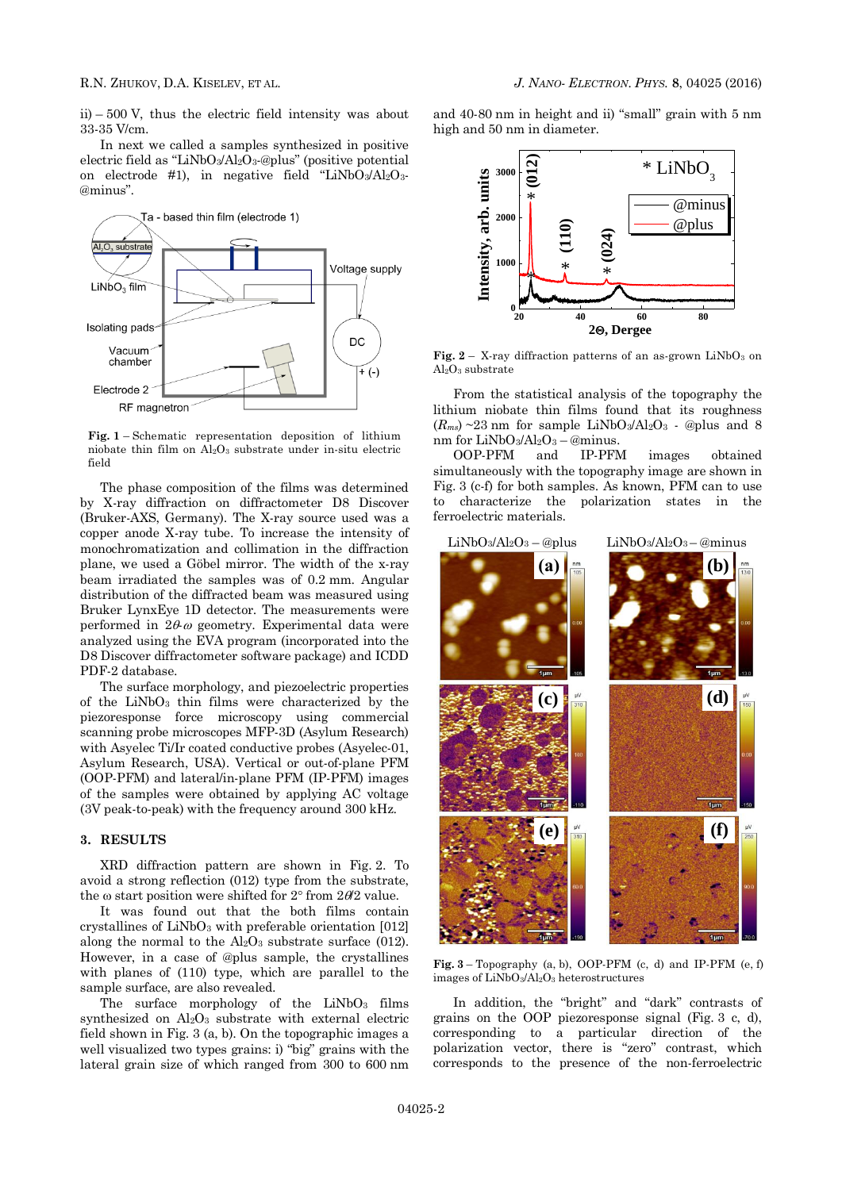ii) – 500 V, thus the electric field intensity was about 33-35 V/cm.

In next we called a samples synthesized in positive electric field as "LiNbO3/Al2O3-@plus" (positive potential on electrode #1), in negative field "LiNbO3/Al2O3-@minus".



**Fig. 1** – Schematic representation deposition of lithium niobate thin film on  $Al_2O_3$  substrate under in-situ electric field

The phase composition of the films was determined by X-ray diffraction on diffractometer D8 Discover (Bruker-AXS, Germany). The X-ray source used was a copper anode X-ray tube. To increase the intensity of monochromatization and collimation in the diffraction plane, we used a Göbel mirror. The width of the x-ray beam irradiated the samples was of 0.2 mm. Angular distribution of the diffracted beam was measured using Bruker LynxEye 1D detector. The measurements were performed in  $2\theta\omega$  geometry. Experimental data were analyzed using the EVA program (incorporated into the D8 Discover diffractometer software package) and ICDD PDF-2 database.

The surface morphology, and piezoelectric properties of the LiNbO<sup>3</sup> thin films were characterized by the piezoresponse force microscopy using commercial scanning probe microscopes MFP-3D (Asylum Research) with Asyelec Ti/Ir coated conductive probes (Asyelec-01, Asylum Research, USA). Vertical or out-of-plane PFM (OOP-PFM) and lateral/in-plane PFM (IP-PFM) images of the samples were obtained by applying AC voltage (3V peak-to-peak) with the frequency around 300 kHz.

## **3. RESULTS**

XRD diffraction pattern are shown in Fig. 2. To avoid a strong reflection (012) type from the substrate, the  $\omega$  start position were shifted for 2 $\degree$  from 2 $\theta$ 2 value.

It was found out that the both films contain crystallines of  $LiNbO<sub>3</sub>$  with preferable orientation [012] along the normal to the  $Al_2O_3$  substrate surface (012). However, in a case of @plus sample, the crystallines with planes of (110) type, which are parallel to the sample surface, are also revealed.

The surface morphology of the  $LiNbO<sub>3</sub>$  films synthesized on Al<sub>2</sub>O<sub>3</sub> substrate with external electric field shown in Fig. 3 (a, b). On the topographic images a well visualized two types grains: i) "big" grains with the lateral grain size of which ranged from 300 to 600 nm

and 40-80 nm in height and ii) "small" grain with 5 nm high and 50 nm in diameter.



**Fig.**  $2 - X$ -ray diffraction patterns of an as-grown  $LiNbO<sub>3</sub>$  on Al2O<sup>3</sup> substrate

From the statistical analysis of the topography the lithium niobate thin films found that its roughness  $(R<sub>ms</sub>)$  ~23 nm for sample LiNbO<sub>3</sub>/Al<sub>2</sub>O<sub>3</sub> - @plus and 8 nm for LiNbO3/Al2O<sup>3</sup> – @minus.

OOP-PFM and IP-PFM images obtained simultaneously with the topography image are shown in Fig. 3 (c-f) for both samples. As known, PFM can to use to characterize the polarization states in the ferroelectric materials.



**Fig.**  $3 - Topography$  (a, b), OOP-PFM (c, d) and IP-PFM (e, f) images of LiNbO3/Al2O<sup>3</sup> heterostructures

In addition, the "bright" and "dark" contrasts of grains on the OOP piezoresponse signal (Fig. 3 c, d), corresponding to a particular direction of the polarization vector, there is "zero" contrast, which corresponds to the presence of the non-ferroelectric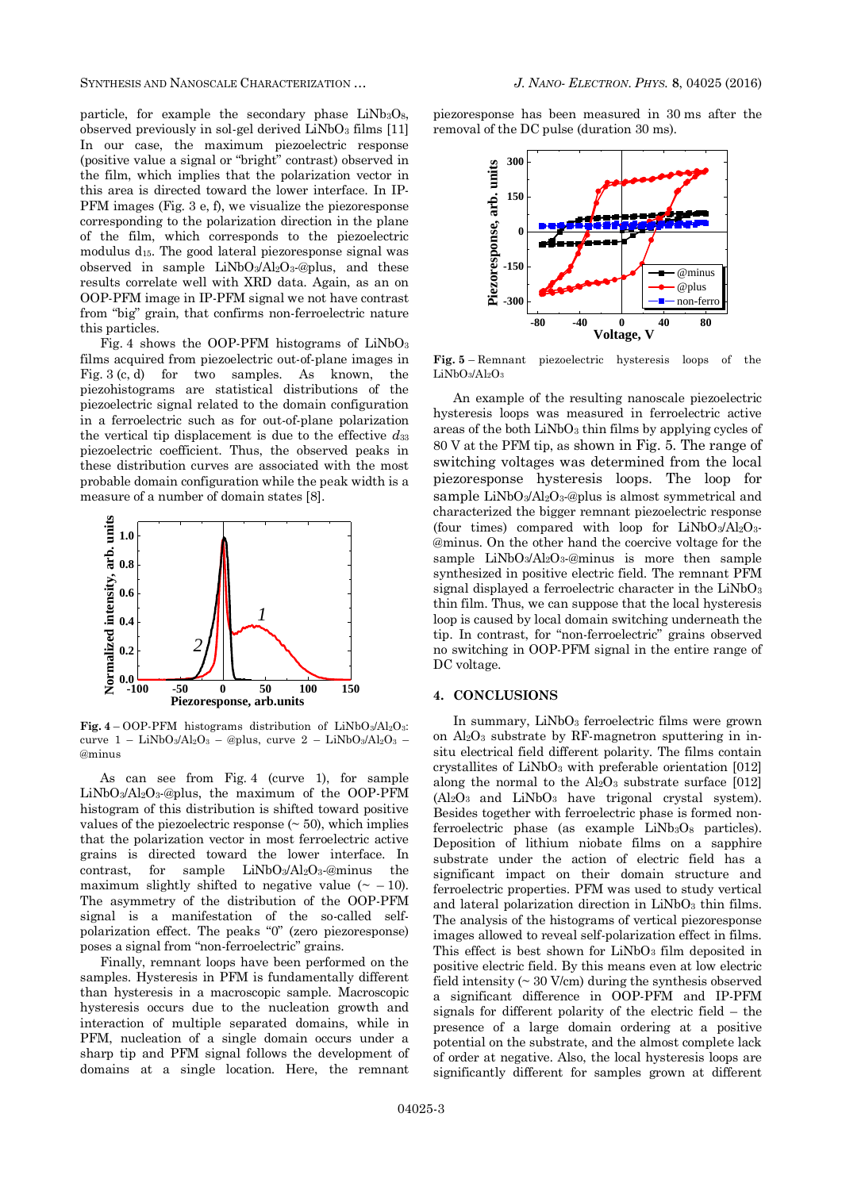SYNTHESIS AND NANOSCALE CHARACTERIZATION … *J. NANO- ELECTRON. PHYS.* **[8](#page-0-2)**, [04025](#page-0-2) [\(2016\)](#page-0-2)

particle, for example the secondary phase  $LiNb<sub>3</sub>O<sub>8</sub>$ , observed previously in sol-gel derived  $LiNbO<sub>3</sub>$  films [11] In our case, the maximum piezoelectric response (positive value a signal or "bright" contrast) observed in the film, which implies that the polarization vector in this area is directed toward the lower interface. In IP-PFM images (Fig. 3 e, f), we visualize the piezoresponse corresponding to the polarization direction in the plane of the film, which corresponds to the piezoelectric modulus d15. The good lateral piezoresponse signal was observed in sample  $LiNbO<sub>3</sub>/Al<sub>2</sub>O<sub>3</sub>$ -@plus, and these results correlate well with XRD data. Again, as an on OOP-PFM image in IP-PFM signal we not have contrast from "big" grain, that confirms non-ferroelectric nature this particles.

Fig. 4 shows the OOP-PFM histograms of  $LiNbO<sub>3</sub>$ films acquired from piezoelectric out-of-plane images in Fig. 3 (c, d) for two samples. As known, the piezohistograms are statistical distributions of the piezoelectric signal related to the domain configuration in a ferroelectric such as for out-of-plane polarization the vertical tip displacement is due to the effective *d*<sup>33</sup> piezoelectric coefficient. Thus, the observed peaks in these distribution curves are associated with the most probable domain configuration while the peak width is a measure of a number of domain states [8].



**Fig.** 4 – OOP-PFM histograms distribution of LiNbO<sub>3</sub>/Al<sub>2</sub>O<sub>3</sub>: curve  $1 - \text{LiNbO}_3/\text{Al}_2\text{O}_3 - \text{\&}$  plus, curve  $2 - \text{LiNbO}_3/\text{Al}_2\text{O}_3 -$ @minus

As can see from Fig. 4 (curve 1), for sample LiNbO3/Al2O3-@plus, the maximum of the OOP-PFM histogram of this distribution is shifted toward positive values of the piezoelectric response  $($   $\sim$  50 $)$ , which implies that the polarization vector in most ferroelectric active grains is directed toward the lower interface. In contrast, for sample LiNbO3/Al2O3-@minus the maximum slightly shifted to negative value  $(\sim -10)$ . The asymmetry of the distribution of the OOP-PFM signal is a manifestation of the so-called selfpolarization effect. The peaks "0" (zero piezoresponse) poses a signal from "non-ferroelectric" grains.

Finally, remnant loops have been performed on the samples. Hysteresis in PFM is fundamentally different than hysteresis in a macroscopic sample. Macroscopic hysteresis occurs due to the nucleation growth and interaction of multiple separated domains, while in PFM, nucleation of a single domain occurs under a sharp tip and PFM signal follows the development of domains at a single location. Here, the remnant piezoresponse has been measured in 30 ms after the removal of the DC pulse (duration 30 ms).



**Fig. 5** – Remnant piezoelectric hysteresis loops of the LiNbO3/Al2O<sup>3</sup>

An example of the resulting nanoscale piezoelectric hysteresis loops was measured in ferroelectric active areas of the both  $LiNbO<sub>3</sub>$  thin films by applying cycles of 80 V at the PFM tip, as shown in Fig. 5. The range of switching voltages was determined from the local piezoresponse hysteresis loops. The loop for sample  $LiNbO<sub>3</sub>/Al<sub>2</sub>O<sub>3</sub>$ -@plus is almost symmetrical and characterized the bigger remnant piezoelectric response (four times) compared with loop for  $LiNbO<sub>3</sub>/Al<sub>2</sub>O<sub>3</sub>$ -@minus. On the other hand the coercive voltage for the sample  $LiNbO<sub>3</sub>/Al<sub>2</sub>O<sub>3</sub>$ -@minus is more then sample synthesized in positive electric field. The remnant PFM signal displayed a ferroelectric character in the  $LiNbO<sub>3</sub>$ thin film. Thus, we can suppose that the local hysteresis loop is caused by local domain switching underneath the tip. In contrast, for "non-ferroelectric" grains observed no switching in OOP-PFM signal in the entire range of DC voltage.

#### **4. CONCLUSIONS**

In summary,  $LiNbO<sub>3</sub>$  ferroelectric films were grown on  $Al_2O_3$  substrate by RF-magnetron sputtering in insitu electrical field different polarity. The films contain crystallites of  $LiNbO<sub>3</sub>$  with preferable orientation [012] along the normal to the  $Al_2O_3$  substrate surface [012]  $(A<sub>2</sub>O<sub>3</sub>$  and  $LiNbO<sub>3</sub>$  have trigonal crystal system). Besides together with ferroelectric phase is formed nonferroelectric phase (as example  $LiNb<sub>3</sub>O<sub>8</sub>$  particles). Deposition of lithium niobate films on a sapphire substrate under the action of electric field has a significant impact on their domain structure and ferroelectric properties. PFM was used to study vertical and lateral polarization direction in LiNbO<sub>3</sub> thin films. The analysis of the histograms of vertical piezoresponse images allowed to reveal self-polarization effect in films. This effect is best shown for  $LiNbO<sub>3</sub>$  film deposited in positive electric field. By this means even at low electric field intensity  $( \sim 30$  V/cm) during the synthesis observed a significant difference in OOP-PFM and IP-PFM signals for different polarity of the electric field – the presence of a large domain ordering at a positive potential on the substrate, and the almost complete lack of order at negative. Also, the local hysteresis loops are significantly different for samples grown at different